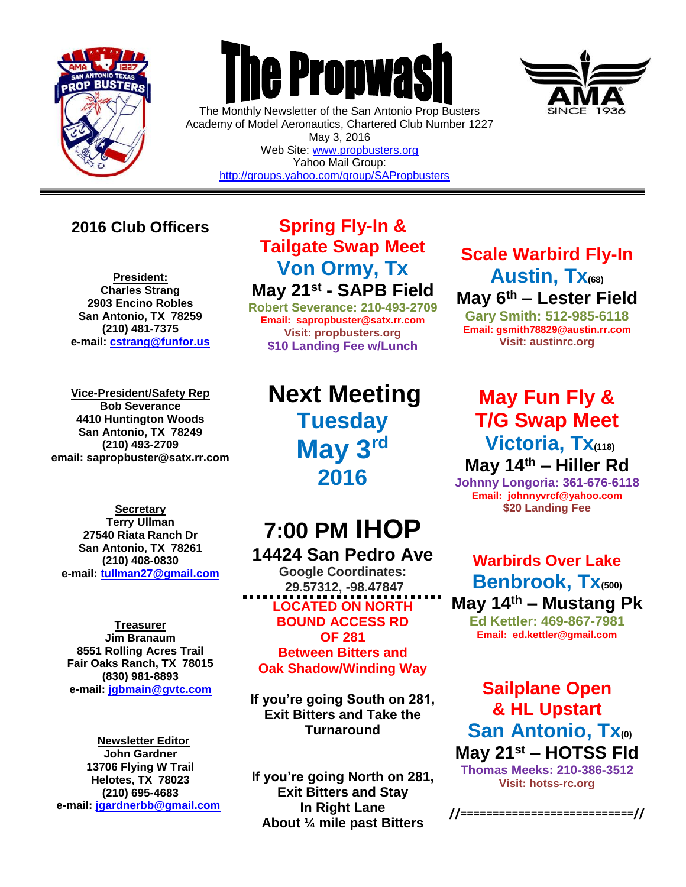

 $\overline{a}$ 

# **The Propwas**

The Monthly Newsletter of the San Antonio Prop Busters Academy of Model Aeronautics, Chartered Club Number 1227 May 3, 2016 Web Site: [www.propbusters.org](http://www.propbusters.org/) Yahoo Mail Group: <http://groups.yahoo.com/group/SAPropbusters>



### **2016 Club Officers**

**President: Charles Strang 2903 Encino Robles San Antonio, TX 78259 (210) 481-7375 e-mail: [cstrang@funfor.us](mailto:cstrang@funfor.us)**

**Vice-President/Safety Rep Bob Severance 4410 Huntington Woods San Antonio, TX 78249 (210) 493-2709 email: sapropbuster@satx.rr.com**

**Secretary Terry Ullman 27540 Riata Ranch Dr San Antonio, TX 78261 (210) 408-0830 e-mail: [tullman27@gmail.com](mailto:tullman27@gmail.com)**

**Treasurer Jim Branaum 8551 Rolling Acres Trail Fair Oaks Ranch, TX 78015 (830) 981-8893 e-mail: [jgbmain@gvtc.com](mailto:jgbmain@gvtc.com)**

**Newsletter Editor John Gardner 13706 Flying W Trail Helotes, TX 78023 (210) 695-4683 e-mail: [jgardnerbb@gmail.com](mailto:jgardnerbb@gmail.com)**

## **Spring Fly-In & Tailgate Swap Meet Von Ormy, Tx May 21st - SAPB Field**

**Robert Severance: 210-493-2709 Email: sapropbuster@satx.rr.com Visit: propbusters.org \$10 Landing Fee w/Lunch**

**Next Meeting Tuesday May 3rd 2016**

# **7:00 PM IHOP**

**14424 San Pedro Ave Google Coordinates: 29.57312, -98.47847 LOCATED ON NORTH BOUND ACCESS RD OF 281 Between Bitters and Oak Shadow/Winding Way**

**If you're going South on 281, Exit Bitters and Take the Turnaround**

**If you're going North on 281, Exit Bitters and Stay In Right Lane About ¼ mile past Bitters**

# **Scale Warbird Fly-In Austin, Tx(68) May 6th – Lester Field**

**Gary Smith: 512-985-6118 Email: gsmith78829@austin.rr.com Visit: austinrc.org**

# **May Fun Fly & T/G Swap Meet Victoria, Tx(118)**

**May 14th – Hiller Rd Johnny Longoria: 361-676-6118 Email: johnnyvrcf@yahoo.com \$20 Landing Fee**

**Warbirds Over Lake Benbrook, Tx(500) May 14th – Mustang Pk Ed Kettler: 469-867-7981 Email: ed.kettler@gmail.com**

**Sailplane Open & HL Upstart San Antonio, Tx(0) May 21st – HOTSS Fld Thomas Meeks: 210-386-3512 Visit: hotss-rc.org**

**//===========================//**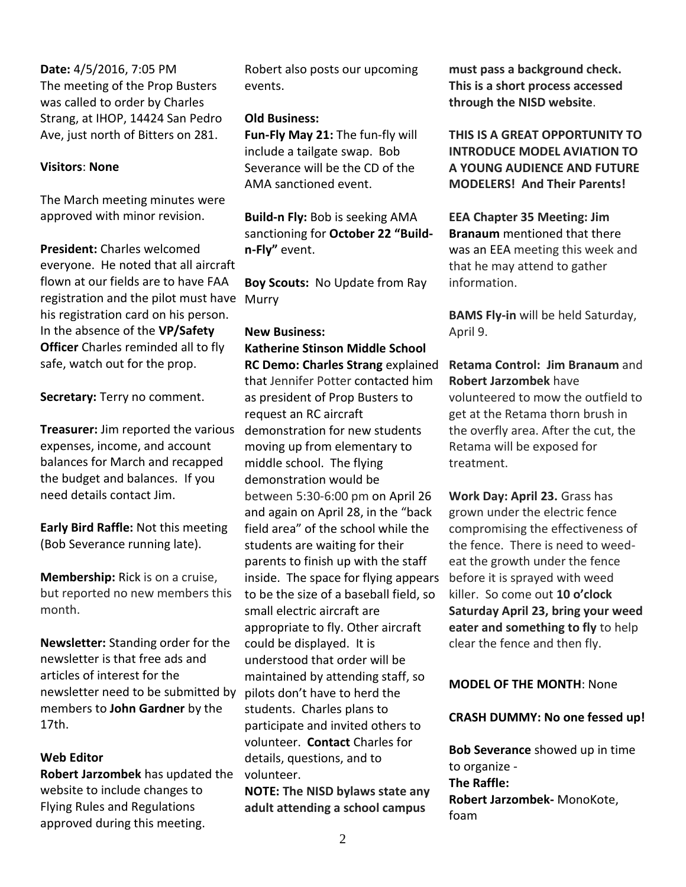**Date:** 4/5/2016, 7:05 PM The meeting of the Prop Busters was called to order by Charles Strang, at IHOP, 14424 San Pedro Ave, just north of Bitters on 281.

#### **Visitors**: **None**

The March meeting minutes were approved with minor revision.

**President:** Charles welcomed everyone. He noted that all aircraft flown at our fields are to have FAA registration and the pilot must have Murry his registration card on his person. In the absence of the **VP/Safety Officer** Charles reminded all to fly safe, watch out for the prop.

**Secretary:** Terry no comment.

**Treasurer:** Jim reported the various expenses, income, and account balances for March and recapped the budget and balances. If you need details contact Jim.

**Early Bird Raffle:** Not this meeting (Bob Severance running late).

**Membership:** Rick is on a cruise, but reported no new members this month.

**Newsletter:** Standing order for the newsletter is that free ads and articles of interest for the newsletter need to be submitted by members to **John Gardner** by the 17th.

#### **Web Editor**

**Robert Jarzombek** has updated the website to include changes to Flying Rules and Regulations approved during this meeting.

Robert also posts our upcoming events.

#### **Old Business:**

**Fun-Fly May 21:** The fun-fly will include a tailgate swap. Bob Severance will be the CD of the AMA sanctioned event.

**Build-n Fly:** Bob is seeking AMA sanctioning for **October 22 "Buildn-Fly"** event.

**Boy Scouts:** No Update from Ray

#### **New Business:**

**Katherine Stinson Middle School RC Demo: Charles Strang** explained that Jennifer Potter contacted him as president of Prop Busters to request an RC aircraft demonstration for new students moving up from elementary to middle school. The flying demonstration would be between 5:30-6:00 pm on April 26 and again on April 28, in the "back field area" of the school while the students are waiting for their parents to finish up with the staff inside. The space for flying appears to be the size of a baseball field, so small electric aircraft are appropriate to fly. Other aircraft could be displayed. It is understood that order will be maintained by attending staff, so pilots don't have to herd the students. Charles plans to participate and invited others to volunteer. **Contact** Charles for details, questions, and to volunteer.

**NOTE: The NISD bylaws state any adult attending a school campus** 

**must pass a background check. This is a short process accessed through the NISD website**.

**THIS IS A GREAT OPPORTUNITY TO INTRODUCE MODEL AVIATION TO A YOUNG AUDIENCE AND FUTURE MODELERS! And Their Parents!**

**EEA Chapter 35 Meeting: Jim Branaum** mentioned that there was an EEA meeting this week and that he may attend to gather information.

**BAMS Fly-in** will be held Saturday, April 9.

**Retama Control: Jim Branaum** and **Robert Jarzombek** have volunteered to mow the outfield to get at the Retama thorn brush in the overfly area. After the cut, the Retama will be exposed for treatment.

**Work Day: April 23.** Grass has grown under the electric fence compromising the effectiveness of the fence. There is need to weedeat the growth under the fence before it is sprayed with weed killer. So come out **10 o'clock Saturday April 23, bring your weed eater and something to fly** to help clear the fence and then fly.

#### **MODEL OF THE MONTH**: None

#### **CRASH DUMMY: No one fessed up!**

**Bob Severance** showed up in time to organize - **The Raffle: Robert Jarzombek-** MonoKote, foam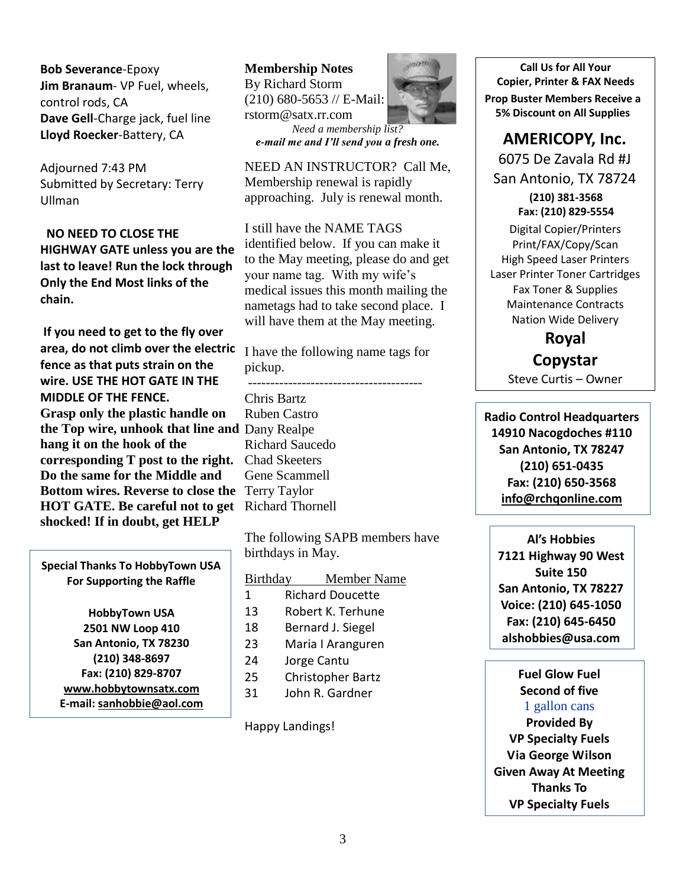**Bob Severance**-Epoxy **Jim Branaum**- VP Fuel, wheels, control rods, CA **Dave Gell**-Charge jack, fuel line **Lloyd Roecker**-Battery, CA

Adjourned 7:43 PM Submitted by Secretary: Terry Ullman

 **NO NEED TO CLOSE THE HIGHWAY GATE unless you are the last to leave! Run the lock through Only the End Most links of the chain.**

**If you need to get to the fly over area, do not climb over the electric fence as that puts strain on the wire. USE THE HOT GATE IN THE MIDDLE OF THE FENCE. Grasp only the plastic handle on the Top wire, unhook that line and**  Dany Realpe **hang it on the hook of the corresponding T post to the right. Do the same for the Middle and Bottom wires. Reverse to close the**  Terry Taylor **HOT GATE. Be careful not to get shocked! If in doubt, get HELP**

**Special Thanks To HobbyTown USA For Supporting the Raffle**

> **HobbyTown USA 2501 NW Loop 410 San Antonio, TX 78230 (210) 348-8697 Fax: (210) 829-8707 [www.hobbytownsatx.com](http://www.hobbytownsatx.com/) E-mail[: sanhobbie@aol.com](mailto:sanhobbie@aol.com)**

**Membership Notes** By Richard Storm (210) 680-5653 // E-Mail: rstorm@satx.rr.com *Need a membership list? e-mail me and I'll send you a fresh one.*

NEED AN INSTRUCTOR? Call Me, Membership renewal is rapidly approaching. July is renewal month.

I still have the NAME TAGS identified below. If you can make it to the May meeting, please do and get your name tag. With my wife's medical issues this month mailing the nametags had to take second place. I will have them at the May meeting.

I have the following name tags for pickup.

--------------------------------------- Chris Bartz Ruben Castro Richard Saucedo Chad Skeeters Gene Scammell Richard Thornell

The following SAPB members have birthdays in May.

#### Birthday Member Name

- 1 Richard Doucette
- 13 Robert K. Terhune
- 18 Bernard J. Siegel
- 23 Maria I Aranguren
- 24 Jorge Cantu
- 25 Christopher Bartz
- 31 John R. Gardner

Happy Landings!



**Call Us for All Your Copier, Printer & FAX Needs Prop Buster Members Receive a 5% Discount on All Supplies**

#### **AMERICOPY, Inc.**

6075 De Zavala Rd #J San Antonio, TX 78724

> **(210) 381-3568 Fax: (210) 829-5554**

Digital Copier/Printers Print/FAX/Copy/Scan High Speed Laser Printers Laser Printer Toner Cartridges Fax Toner & Supplies Maintenance Contracts Nation Wide Delivery

> **Royal Copystar**

Steve Curtis – Owner

**Radio Control Headquarters 14910 Nacogdoches #110 San Antonio, TX 78247 (210) 651-0435 Fax: (210) 650-3568 [info@rchqonline.com](mailto:info@rchqonline.com)**

**Al's Hobbies 7121 Highway 90 West Suite 150 San Antonio, TX 78227 Voice: (210) 645-1050 Fax: (210) 645-6450 alshobbies@usa.com**

**Fuel Glow Fuel Second of five** 1 gallon cans **Provided By VP Specialty Fuels Via George Wilson Given Away At Meeting Thanks To VP Specialty Fuels**